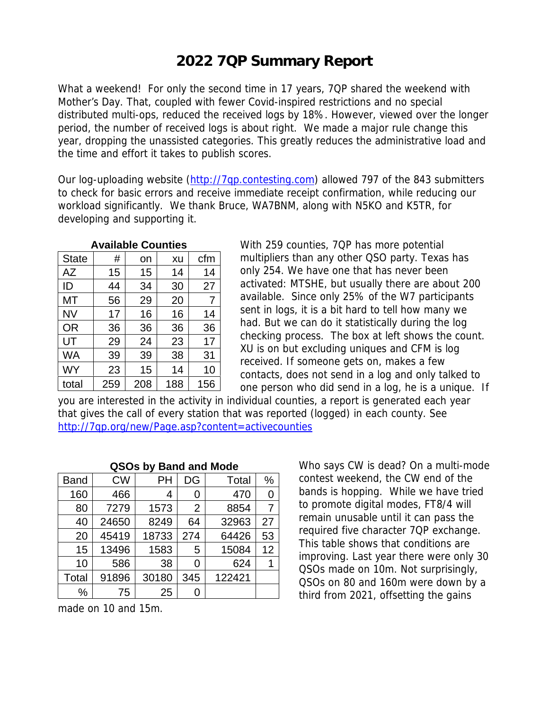## **2022 7QP Summary Report**

What a weekend! For only the second time in 17 years, 7QP shared the weekend with Mother's Day. That, coupled with fewer Covid-inspired restrictions and no special distributed multi-ops, reduced the received logs by 18%. However, viewed over the longer period, the number of received logs is about right. We made a major rule change this year, dropping the unassisted categories. This greatly reduces the administrative load and the time and effort it takes to publish scores.

Our log-uploading website [\(http://7qp.contesting.com\)](http://7qp.contesting.com/) allowed 797 of the 843 submitters to check for basic errors and receive immediate receipt confirmation, while reducing our workload significantly. We thank Bruce, WA7BNM, along with N5KO and K5TR, for developing and supporting it.

| <b>Available Counties</b> |     |     |     |     |  |  |  |
|---------------------------|-----|-----|-----|-----|--|--|--|
| <b>State</b>              | #   | on  | xu  | cfm |  |  |  |
| AZ                        | 15  | 15  | 14  | 14  |  |  |  |
| ID                        | 44  | 34  | 30  | 27  |  |  |  |
| МT                        | 56  | 29  | 20  | 7   |  |  |  |
| <b>NV</b>                 | 17  | 16  | 16  | 14  |  |  |  |
| <b>OR</b>                 | 36  | 36  | 36  | 36  |  |  |  |
| UT                        | 29  | 24  | 23  | 17  |  |  |  |
| <b>WA</b>                 | 39  | 39  | 38  | 31  |  |  |  |
| <b>WY</b>                 | 23  | 15  | 14  | 10  |  |  |  |
| total                     | 259 | 208 | 188 | 156 |  |  |  |

With 259 counties, 7QP has more potential multipliers than any other QSO party. Texas has only 254. We have one that has never been activated: MTSHE, but usually there are about 200 available. Since only 25% of the W7 participants sent in logs, it is a bit hard to tell how many we had. But we can do it statistically during the log checking process. The box at left shows the count. XU is on but excluding uniques and CFM is log received. If someone gets on, makes a few contacts, does not send in a log and only talked to one person who did send in a log, he is a unique. If

you are interested in the activity in individual counties, a report is generated each year that gives the call of every station that was reported (logged) in each county. See <http://7qp.org/new/Page.asp?content=activecounties>

| QSOs by Band and Mode |           |       |                |        |    |  |  |
|-----------------------|-----------|-------|----------------|--------|----|--|--|
| <b>Band</b>           | <b>CW</b> | PH    | DG             | Total  | %  |  |  |
| 160                   | 466       | 4     | 0              | 470    | 0  |  |  |
| 80                    | 7279      | 1573  | $\overline{2}$ | 8854   | 7  |  |  |
| 40                    | 24650     | 8249  | 64             | 32963  | 27 |  |  |
| 20                    | 45419     | 18733 | 274            | 64426  | 53 |  |  |
| 15                    | 13496     | 1583  | 5              | 15084  | 12 |  |  |
| 10                    | 586       | 38    | 0              | 624    | 1  |  |  |
| Total                 | 91896     | 30180 | 345            | 122421 |    |  |  |
| %                     | 75        | 25    |                |        |    |  |  |

made on 10 and 15m.

Who says CW is dead? On a multi-mode contest weekend, the CW end of the bands is hopping. While we have tried to promote digital modes, FT8/4 will remain unusable until it can pass the required five character 7QP exchange. This table shows that conditions are improving. Last year there were only 30 QSOs made on 10m. Not surprisingly, QSOs on 80 and 160m were down by a third from 2021, offsetting the gains